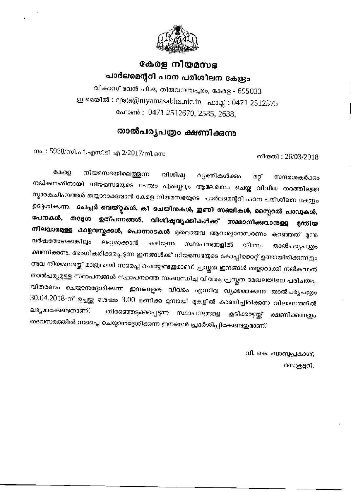

## കേരള നിയമസഭ പാർലമെന്ററി പഠന പരിശീലന കേന്ദ്രം

വികാസ് ഭവൻ പി.ഒ, തിരുവനന്തപുരം, കേരള - 695033 ഇ.മെയിൽ: cpsta@niyamasabha.nic.in ഹാക്സ്: 0471 2512375 ഫോൺ : 0471 2512670, 2585, 2638,

## താൽപര്യപത്രം ക്ഷണിക്കന്ന

തീയതി: 26/03/2018

നം. : 5938/സി.പി.എസ്.ടി എ 2/2017/നി.സെ.

നിയമസഭയിലെത്തുന്ന കേരള വിശിഷ്ഠ വ്യക്തികൾക്കും മറ്റ് സന്ദർശകർക്കാ നൽകന്നതിനായി നിയമസഭയുടെ പേരും എംബ്ലവും ആലേഖനം ചെയ്ത വിവിധ തരത്തിലുള്ള സ്മാരകചിഹ്നങ്ങൾ തയ്യാറാക്കുവാൻ കേരള നിയമസഭയുടെ പാർലമെന്ററി പഠന പരിശീലന കേന്ദ്രം ഉദ്ദേശിക്കുന്നു. പേപ്പർ വെയ്റ്റുകൾ, കീ ചെയിനുകൾ, ഇണി സഞ്ചികൾ, സ്പൈറൽ പാഡുകൾ, പേനകൾ, ഉത്പന്നങ്ങൾ, വിശിഷ്ടവ്യക്തികൾക്ക് സമ്മാനിക്കവാനുള്ള തദ്ദേശ മന്തിയ നിലവാരമുള്ള കാഴ്ചവസ്തക്കൾ, പൊന്നാടകൾ മുതലായവ ആവശ്യാനസരണം കുറഞ്ഞത് മൂന്നു വർഷത്തേക്കെങ്കിലും ലഭ്യമാക്കാൻ കഴിയുന്ന സ്ഥാപനങ്ങളിൽ നിന്നും താൽപര്യപത്രം ക്ഷണിക്കന്നു. അംഗീകരിക്കപ്പെടുന്ന ഇനങ്ങൾക്ക് നിയമസഭയുടെ കോപ്പിറൈറ്റ് ഉണ്ടായിരിക്കുന്നതും അവ നിയമസഭയ്ക്ക് മാത്രമായി സപ്ലൈ ചെയ്യേണ്ടഇമാണ്. പ്രസ്തത ഇനങ്ങൾ തയ്യാറാക്കി നൽകവാൻ താൽപര്യമുള്ള സ്ഥാപനങ്ങൾ സ്ഥാപനത്തെ സംബന്ധിച്ച വിവരം, പ്രസ്തത മേഖലയിലെ പരിചയം, വിതരണം ചെയ്യാനുദ്ദേശിക്കുന്ന ഇനങ്ങളുടെ വിവരം എന്നിവ വൃക്തമാക്കുന്ന താൽപര്യപത്രം 30.04.2018-ന് ഉച്ചയ്ക്ക ശേഷം 3.00 മണിക്ക മുമ്പായി മുകളിൽ കാണിച്ചിരിക്കുന്ന വിലാസത്തിൽ ലഭ്യമാക്കേണ്ടതാണ്. തിരഞ്ഞെടുക്കപ്പെടുന്ന സ്ഥാപനങ്ങളെ കൂടിക്കാഴ്ചയ്ക് ക്ഷണിക്കന്നത്രം തദവസരത്തിൽ സപ്ലൈ ചെയ്യാനദ്ദേശിക്കുന്ന ഇനങ്ങൾ പ്രദർശിപ്പിക്കേണ്ടഇമാണ്.

> വി. കെ. ബാബൃപ്രകാശ്, സെക്രട്ടറി.